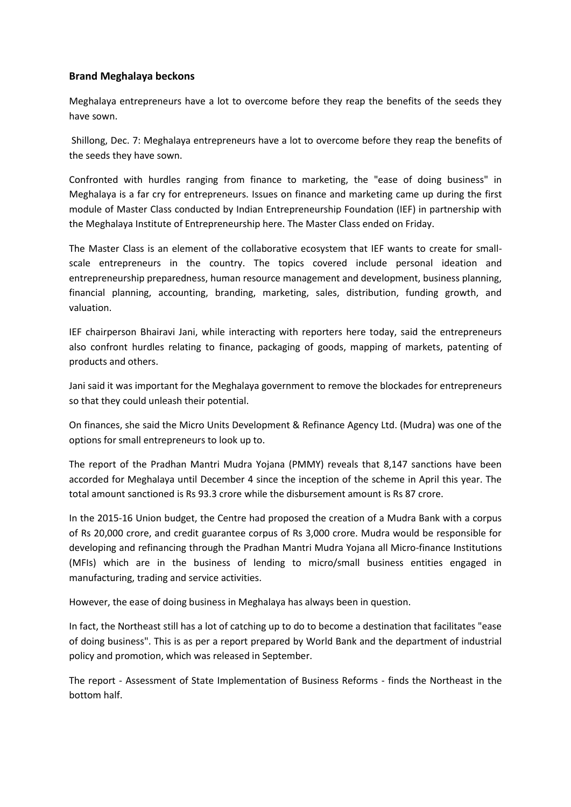## **Brand Meghalaya beckons**

Meghalaya entrepreneurs have a lot to overcome before they reap the benefits of the seeds they have sown.

Shillong, Dec. 7: Meghalaya entrepreneurs have a lot to overcome before they reap the benefits of the seeds they have sown.

Confronted with hurdles ranging from finance to marketing, the "ease of doing business" in Meghalaya is a far cry for entrepreneurs. Issues on finance and marketing came up during the first module of Master Class conducted by Indian Entrepreneurship Foundation (IEF) in partnership with the Meghalaya Institute of Entrepreneurship here. The Master Class ended on Friday.

The Master Class is an element of the collaborative ecosystem that IEF wants to create for smallscale entrepreneurs in the country. The topics covered include personal ideation and entrepreneurship preparedness, human resource management and development, business planning, financial planning, accounting, branding, marketing, sales, distribution, funding growth, and valuation.

IEF chairperson Bhairavi Jani, while interacting with reporters here today, said the entrepreneurs also confront hurdles relating to finance, packaging of goods, mapping of markets, patenting of products and others.

Jani said it was important for the Meghalaya government to remove the blockades for entrepreneurs so that they could unleash their potential.

On finances, she said the Micro Units Development & Refinance Agency Ltd. (Mudra) was one of the options for small entrepreneurs to look up to.

The report of the Pradhan Mantri Mudra Yojana (PMMY) reveals that 8,147 sanctions have been accorded for Meghalaya until December 4 since the inception of the scheme in April this year. The total amount sanctioned is Rs 93.3 crore while the disbursement amount is Rs 87 crore.

In the 2015-16 Union budget, the Centre had proposed the creation of a Mudra Bank with a corpus of Rs 20,000 crore, and credit guarantee corpus of Rs 3,000 crore. Mudra would be responsible for developing and refinancing through the Pradhan Mantri Mudra Yojana all Micro-finance Institutions (MFIs) which are in the business of lending to micro/small business entities engaged in manufacturing, trading and service activities.

However, the ease of doing business in Meghalaya has always been in question.

In fact, the Northeast still has a lot of catching up to do to become a destination that facilitates "ease of doing business". This is as per a report prepared by World Bank and the department of industrial policy and promotion, which was released in September.

The report - Assessment of State Implementation of Business Reforms - finds the Northeast in the bottom half.